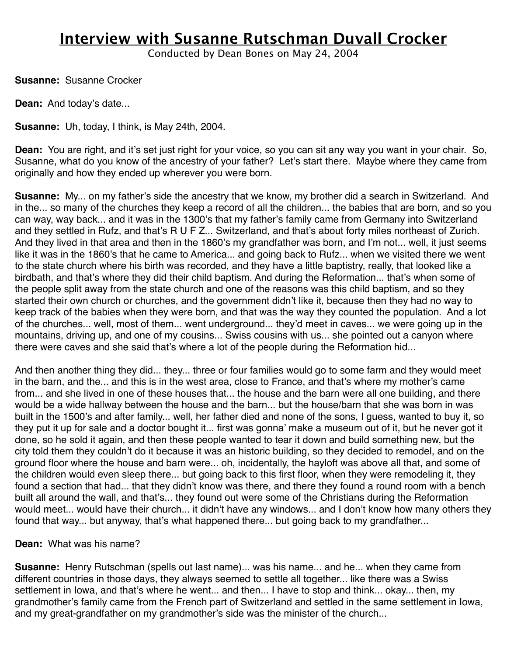Conducted by Dean Bones on May 24, 2004

**Susanne:** Susanne Crocker

**Dean:** And today's date...

**Susanne:** Uh, today, I think, is May 24th, 2004.

**Dean:** You are right, and it's set just right for your voice, so you can sit any way you want in your chair. So, Susanne, what do you know of the ancestry of your father? Let's start there. Maybe where they came from originally and how they ended up wherever you were born.

**Susanne:** My... on my father's side the ancestry that we know, my brother did a search in Switzerland. And in the... so many of the churches they keep a record of all the children... the babies that are born, and so you can way, way back... and it was in the 1300's that my father's family came from Germany into Switzerland and they settled in Rufz, and that's R U F Z... Switzerland, and that's about forty miles northeast of Zurich. And they lived in that area and then in the 1860's my grandfather was born, and I'm not... well, it just seems like it was in the 1860's that he came to America... and going back to Rufz... when we visited there we went to the state church where his birth was recorded, and they have a little baptistry, really, that looked like a birdbath, and that's where they did their child baptism. And during the Reformation... that's when some of the people split away from the state church and one of the reasons was this child baptism, and so they started their own church or churches, and the government didn't like it, because then they had no way to keep track of the babies when they were born, and that was the way they counted the population. And a lot of the churches... well, most of them... went underground... they'd meet in caves... we were going up in the mountains, driving up, and one of my cousins... Swiss cousins with us... she pointed out a canyon where there were caves and she said that's where a lot of the people during the Reformation hid...

And then another thing they did... they... three or four families would go to some farm and they would meet in the barn, and the... and this is in the west area, close to France, and that's where my mother's came from... and she lived in one of these houses that... the house and the barn were all one building, and there would be a wide hallway between the house and the barn... but the house/barn that she was born in was built in the 1500's and after family... well, her father died and none of the sons, I guess, wanted to buy it, so they put it up for sale and a doctor bought it... first was gonna' make a museum out of it, but he never got it done, so he sold it again, and then these people wanted to tear it down and build something new, but the city told them they couldn't do it because it was an historic building, so they decided to remodel, and on the ground floor where the house and barn were... oh, incidentally, the hayloft was above all that, and some of the children would even sleep there... but going back to this first floor, when they were remodeling it, they found a section that had... that they didn't know was there, and there they found a round room with a bench built all around the wall, and that's... they found out were some of the Christians during the Reformation would meet... would have their church... it didn't have any windows... and I don't know how many others they found that way... but anyway, that's what happened there... but going back to my grandfather...

### **Dean:** What was his name?

**Susanne:** Henry Rutschman (spells out last name)... was his name... and he... when they came from different countries in those days, they always seemed to settle all together... like there was a Swiss settlement in Iowa, and that's where he went... and then... I have to stop and think... okay... then, my grandmother's family came from the French part of Switzerland and settled in the same settlement in Iowa, and my great-grandfather on my grandmother's side was the minister of the church...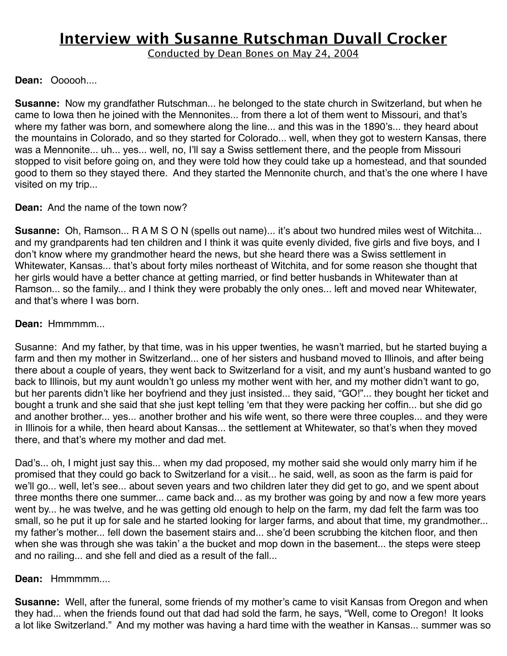Conducted by Dean Bones on May 24, 2004

### **Dean:** Oooooh....

**Susanne:** Now my grandfather Rutschman... he belonged to the state church in Switzerland, but when he came to Iowa then he joined with the Mennonites... from there a lot of them went to Missouri, and that's where my father was born, and somewhere along the line... and this was in the 1890's... they heard about the mountains in Colorado, and so they started for Colorado... well, when they got to western Kansas, there was a Mennonite... uh... yes... well, no, I'll say a Swiss settlement there, and the people from Missouri stopped to visit before going on, and they were told how they could take up a homestead, and that sounded good to them so they stayed there. And they started the Mennonite church, and that's the one where I have visited on my trip...

### **Dean:** And the name of the town now?

**Susanne:** Oh, Ramson... R A M S O N (spells out name)... it's about two hundred miles west of Witchita... and my grandparents had ten children and I think it was quite evenly divided, five girls and five boys, and I don't know where my grandmother heard the news, but she heard there was a Swiss settlement in Whitewater, Kansas... that's about forty miles northeast of Witchita, and for some reason she thought that her girls would have a better chance at getting married, or find better husbands in Whitewater than at Ramson... so the family... and I think they were probably the only ones... left and moved near Whitewater, and that's where I was born.

### **Dean:** Hmmmmm...

Susanne: And my father, by that time, was in his upper twenties, he wasn't married, but he started buying a farm and then my mother in Switzerland... one of her sisters and husband moved to Illinois, and after being there about a couple of years, they went back to Switzerland for a visit, and my aunt's husband wanted to go back to Illinois, but my aunt wouldn't go unless my mother went with her, and my mother didn't want to go, but her parents didn't like her boyfriend and they just insisted... they said, "GO!"... they bought her ticket and bought a trunk and she said that she just kept telling ʻem that they were packing her coffin... but she did go and another brother... yes... another brother and his wife went, so there were three couples... and they were in Illinois for a while, then heard about Kansas... the settlement at Whitewater, so that's when they moved there, and that's where my mother and dad met.

Dad's... oh, I might just say this... when my dad proposed, my mother said she would only marry him if he promised that they could go back to Switzerland for a visit... he said, well, as soon as the farm is paid for we'll go... well, let's see... about seven years and two children later they did get to go, and we spent about three months there one summer... came back and... as my brother was going by and now a few more years went by... he was twelve, and he was getting old enough to help on the farm, my dad felt the farm was too small, so he put it up for sale and he started looking for larger farms, and about that time, my grandmother... my father's mother... fell down the basement stairs and... she'd been scrubbing the kitchen floor, and then when she was through she was takin' a the bucket and mop down in the basement... the steps were steep and no railing... and she fell and died as a result of the fall...

### **Dean:** Hmmmmm....

**Susanne:** Well, after the funeral, some friends of my mother's came to visit Kansas from Oregon and when they had... when the friends found out that dad had sold the farm, he says, "Well, come to Oregon! It looks a lot like Switzerland." And my mother was having a hard time with the weather in Kansas... summer was so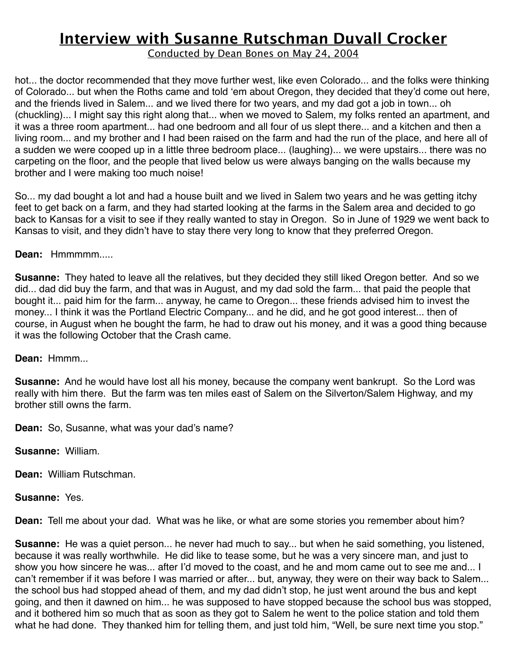Conducted by Dean Bones on May 24, 2004

hot... the doctor recommended that they move further west, like even Colorado... and the folks were thinking of Colorado... but when the Roths came and told ʻem about Oregon, they decided that they'd come out here, and the friends lived in Salem... and we lived there for two years, and my dad got a job in town... oh (chuckling)... I might say this right along that... when we moved to Salem, my folks rented an apartment, and it was a three room apartment... had one bedroom and all four of us slept there... and a kitchen and then a living room... and my brother and I had been raised on the farm and had the run of the place, and here all of a sudden we were cooped up in a little three bedroom place... (laughing)... we were upstairs... there was no carpeting on the floor, and the people that lived below us were always banging on the walls because my brother and I were making too much noise!

So... my dad bought a lot and had a house built and we lived in Salem two years and he was getting itchy feet to get back on a farm, and they had started looking at the farms in the Salem area and decided to go back to Kansas for a visit to see if they really wanted to stay in Oregon. So in June of 1929 we went back to Kansas to visit, and they didn't have to stay there very long to know that they preferred Oregon.

### **Dean:** Hmmmmm.....

**Susanne:** They hated to leave all the relatives, but they decided they still liked Oregon better. And so we did... dad did buy the farm, and that was in August, and my dad sold the farm... that paid the people that bought it... paid him for the farm... anyway, he came to Oregon... these friends advised him to invest the money... I think it was the Portland Electric Company... and he did, and he got good interest... then of course, in August when he bought the farm, he had to draw out his money, and it was a good thing because it was the following October that the Crash came.

### **Dean:** Hmmm...

**Susanne:** And he would have lost all his money, because the company went bankrupt. So the Lord was really with him there. But the farm was ten miles east of Salem on the Silverton/Salem Highway, and my brother still owns the farm.

**Dean:** So, Susanne, what was your dad's name?

**Susanne:** William.

**Dean:** William Rutschman.

**Susanne:** Yes.

**Dean:** Tell me about your dad. What was he like, or what are some stories you remember about him?

**Susanne:** He was a quiet person... he never had much to say... but when he said something, you listened, because it was really worthwhile. He did like to tease some, but he was a very sincere man, and just to show you how sincere he was... after I'd moved to the coast, and he and mom came out to see me and... I can't remember if it was before I was married or after... but, anyway, they were on their way back to Salem... the school bus had stopped ahead of them, and my dad didn't stop, he just went around the bus and kept going, and then it dawned on him... he was supposed to have stopped because the school bus was stopped, and it bothered him so much that as soon as they got to Salem he went to the police station and told them what he had done. They thanked him for telling them, and just told him, "Well, be sure next time you stop."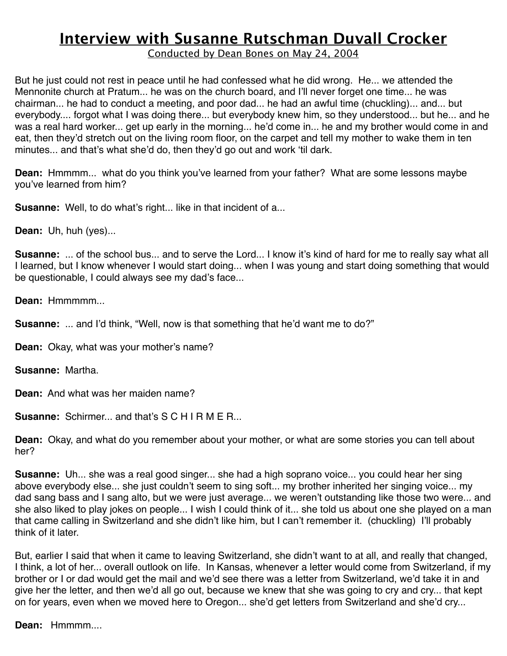Conducted by Dean Bones on May 24, 2004

But he just could not rest in peace until he had confessed what he did wrong. He... we attended the Mennonite church at Pratum... he was on the church board, and I'll never forget one time... he was chairman... he had to conduct a meeting, and poor dad... he had an awful time (chuckling)... and... but everybody.... forgot what I was doing there... but everybody knew him, so they understood... but he... and he was a real hard worker... get up early in the morning... he'd come in... he and my brother would come in and eat, then they'd stretch out on the living room floor, on the carpet and tell my mother to wake them in ten minutes... and that's what she'd do, then they'd go out and work ʻtil dark.

**Dean:** Hmmmm... what do you think you've learned from your father? What are some lessons maybe you've learned from him?

**Susanne:** Well, to do what's right... like in that incident of a...

**Dean:** Uh, huh (yes)...

**Susanne:** ... of the school bus... and to serve the Lord... I know it's kind of hard for me to really say what all I learned, but I know whenever I would start doing... when I was young and start doing something that would be questionable, I could always see my dad's face...

**Dean:** Hmmmmm...

**Susanne:** ... and I'd think, "Well, now is that something that he'd want me to do?"

**Dean:** Okay, what was your mother's name?

**Susanne:** Martha.

**Dean:** And what was her maiden name?

**Susanne:** Schirmer... and that's S C H I R M E R...

**Dean:** Okay, and what do you remember about your mother, or what are some stories you can tell about her?

**Susanne:** Uh... she was a real good singer... she had a high soprano voice... you could hear her sing above everybody else... she just couldn't seem to sing soft... my brother inherited her singing voice... my dad sang bass and I sang alto, but we were just average... we weren't outstanding like those two were... and she also liked to play jokes on people... I wish I could think of it... she told us about one she played on a man that came calling in Switzerland and she didn't like him, but I can't remember it. (chuckling) I'll probably think of it later.

But, earlier I said that when it came to leaving Switzerland, she didn't want to at all, and really that changed, I think, a lot of her... overall outlook on life. In Kansas, whenever a letter would come from Switzerland, if my brother or I or dad would get the mail and we'd see there was a letter from Switzerland, we'd take it in and give her the letter, and then we'd all go out, because we knew that she was going to cry and cry... that kept on for years, even when we moved here to Oregon... she'd get letters from Switzerland and she'd cry...

**Dean:** Hmmmm....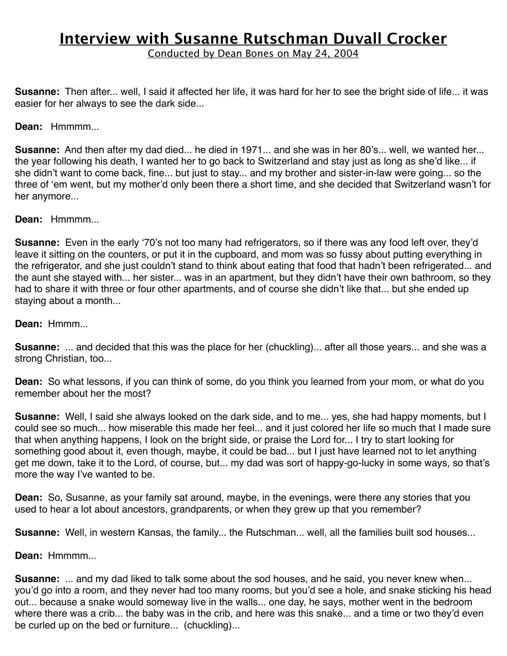Conducted by Dean Bones on May 24, 2004

**Susanne:** Then after... well, I said it affected her life, it was hard for her to see the bright side of life... it was easier for her always to see the dark side...

#### **Dean:** Hmmmm...

**Susanne:** And then after my dad died... he died in 1971... and she was in her 80's... well, we wanted her... the year following his death, I wanted her to go back to Switzerland and stay just as long as she'd like... if she didn't want to come back, fine... but just to stay... and my brother and sister-in-law were going... so the three of ʻem went, but my mother'd only been there a short time, and she decided that Switzerland wasn't for her anymore...

**Dean:** Hmmmm...

**Susanne:** Even in the early ʻ70's not too many had refrigerators, so if there was any food left over, they'd leave it sitting on the counters, or put it in the cupboard, and mom was so fussy about putting everything in the refrigerator, and she just couldn't stand to think about eating that food that hadn't been refrigerated... and the aunt she stayed with... her sister... was in an apartment, but they didn't have their own bathroom, so they had to share it with three or four other apartments, and of course she didn't like that... but she ended up staying about a month...

**Dean:** Hmmm...

**Susanne:** ... and decided that this was the place for her (chuckling)... after all those years... and she was a strong Christian, too...

**Dean:** So what lessons, if you can think of some, do you think you learned from your mom, or what do you remember about her the most?

**Susanne:** Well, I said she always looked on the dark side, and to me... yes, she had happy moments, but I could see so much... how miserable this made her feel... and it just colored her life so much that I made sure that when anything happens, I look on the bright side, or praise the Lord for... I try to start looking for something good about it, even though, maybe, it could be bad... but I just have learned not to let anything get me down, take it to the Lord, of course, but... my dad was sort of happy-go-lucky in some ways, so that's more the way I've wanted to be.

**Dean:** So, Susanne, as your family sat around, maybe, in the evenings, were there any stories that you used to hear a lot about ancestors, grandparents, or when they grew up that you remember?

**Susanne:** Well, in western Kansas, the family... the Rutschman... well, all the families built sod houses...

**Dean:** Hmmmm...

**Susanne:** ... and my dad liked to talk some about the sod houses, and he said, you never knew when... you'd go into a room, and they never had too many rooms, but you'd see a hole, and snake sticking his head out... because a snake would someway live in the walls... one day, he says, mother went in the bedroom where there was a crib... the baby was in the crib, and here was this snake... and a time or two they'd even be curled up on the bed or furniture... (chuckling)...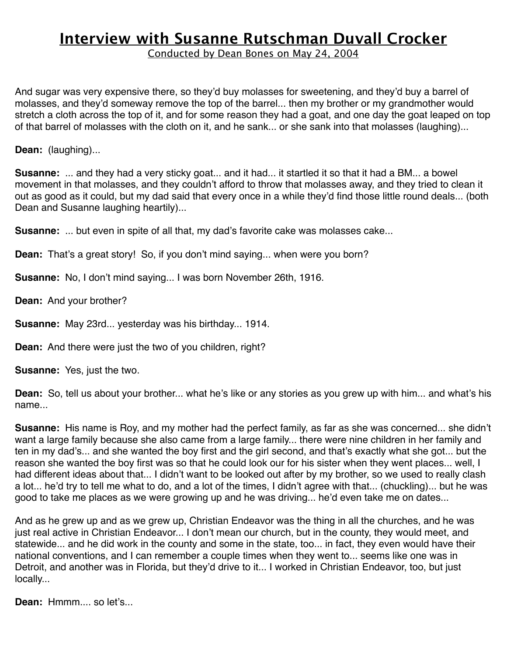Conducted by Dean Bones on May 24, 2004

And sugar was very expensive there, so they'd buy molasses for sweetening, and they'd buy a barrel of molasses, and they'd someway remove the top of the barrel... then my brother or my grandmother would stretch a cloth across the top of it, and for some reason they had a goat, and one day the goat leaped on top of that barrel of molasses with the cloth on it, and he sank... or she sank into that molasses (laughing)...

**Dean:** (laughing)...

**Susanne:** ... and they had a very sticky goat... and it had... it startled it so that it had a BM... a bowel movement in that molasses, and they couldn't afford to throw that molasses away, and they tried to clean it out as good as it could, but my dad said that every once in a while they'd find those little round deals... (both Dean and Susanne laughing heartily)...

**Susanne:** ... but even in spite of all that, my dad's favorite cake was molasses cake...

**Dean:** That's a great story! So, if you don't mind saying... when were you born?

**Susanne:** No, I don't mind saying... I was born November 26th, 1916.

**Dean:** And your brother?

**Susanne:** May 23rd... yesterday was his birthday... 1914.

**Dean:** And there were just the two of you children, right?

**Susanne:** Yes, just the two.

**Dean:** So, tell us about your brother... what he's like or any stories as you grew up with him... and what's his name...

**Susanne:** His name is Roy, and my mother had the perfect family, as far as she was concerned... she didn't want a large family because she also came from a large family... there were nine children in her family and ten in my dad's... and she wanted the boy first and the girl second, and that's exactly what she got... but the reason she wanted the boy first was so that he could look our for his sister when they went places... well, I had different ideas about that... I didn't want to be looked out after by my brother, so we used to really clash a lot... he'd try to tell me what to do, and a lot of the times, I didn't agree with that... (chuckling)... but he was good to take me places as we were growing up and he was driving... he'd even take me on dates...

And as he grew up and as we grew up, Christian Endeavor was the thing in all the churches, and he was just real active in Christian Endeavor... I don't mean our church, but in the county, they would meet, and statewide... and he did work in the county and some in the state, too... in fact, they even would have their national conventions, and I can remember a couple times when they went to... seems like one was in Detroit, and another was in Florida, but they'd drive to it... I worked in Christian Endeavor, too, but just locally...

**Dean:** Hmmm.... so let's...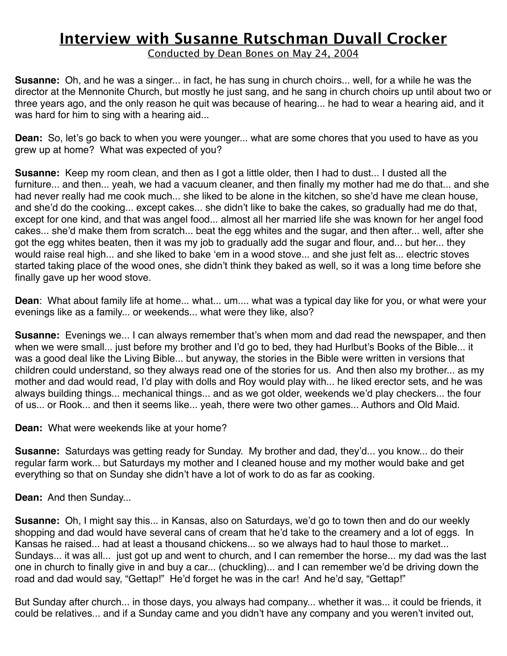Conducted by Dean Bones on May 24, 2004

**Susanne:** Oh, and he was a singer... in fact, he has sung in church choirs... well, for a while he was the director at the Mennonite Church, but mostly he just sang, and he sang in church choirs up until about two or three years ago, and the only reason he quit was because of hearing... he had to wear a hearing aid, and it was hard for him to sing with a hearing aid...

**Dean:** So, let's go back to when you were younger... what are some chores that you used to have as you grew up at home? What was expected of you?

**Susanne:** Keep my room clean, and then as I got a little older, then I had to dust... I dusted all the furniture... and then... yeah, we had a vacuum cleaner, and then finally my mother had me do that... and she had never really had me cook much... she liked to be alone in the kitchen, so she'd have me clean house, and she'd do the cooking... except cakes... she didn't like to bake the cakes, so gradually had me do that, except for one kind, and that was angel food... almost all her married life she was known for her angel food cakes... she'd make them from scratch... beat the egg whites and the sugar, and then after... well, after she got the egg whites beaten, then it was my job to gradually add the sugar and flour, and... but her... they would raise real high... and she liked to bake ʻem in a wood stove... and she just felt as... electric stoves started taking place of the wood ones, she didn't think they baked as well, so it was a long time before she finally gave up her wood stove.

**Dean**: What about family life at home... what... um.... what was a typical day like for you, or what were your evenings like as a family... or weekends... what were they like, also?

**Susanne:** Evenings we... I can always remember that's when mom and dad read the newspaper, and then when we were small... just before my brother and I'd go to bed, they had Hurlbut's Books of the Bible... it was a good deal like the Living Bible... but anyway, the stories in the Bible were written in versions that children could understand, so they always read one of the stories for us. And then also my brother... as my mother and dad would read, I'd play with dolls and Roy would play with... he liked erector sets, and he was always building things... mechanical things... and as we got older, weekends we'd play checkers... the four of us... or Rook... and then it seems like... yeah, there were two other games... Authors and Old Maid.

**Dean:** What were weekends like at your home?

**Susanne:** Saturdays was getting ready for Sunday. My brother and dad, they'd... you know... do their regular farm work... but Saturdays my mother and I cleaned house and my mother would bake and get everything so that on Sunday she didn't have a lot of work to do as far as cooking.

**Dean:** And then Sunday...

**Susanne:** Oh, I might say this... in Kansas, also on Saturdays, we'd go to town then and do our weekly shopping and dad would have several cans of cream that he'd take to the creamery and a lot of eggs. In Kansas he raised... had at least a thousand chickens... so we always had to haul those to market... Sundays... it was all... just got up and went to church, and I can remember the horse... my dad was the last one in church to finally give in and buy a car... (chuckling)... and I can remember we'd be driving down the road and dad would say, "Gettap!" He'd forget he was in the car! And he'd say, "Gettap!"

But Sunday after church... in those days, you always had company... whether it was... it could be friends, it could be relatives... and if a Sunday came and you didn't have any company and you weren't invited out,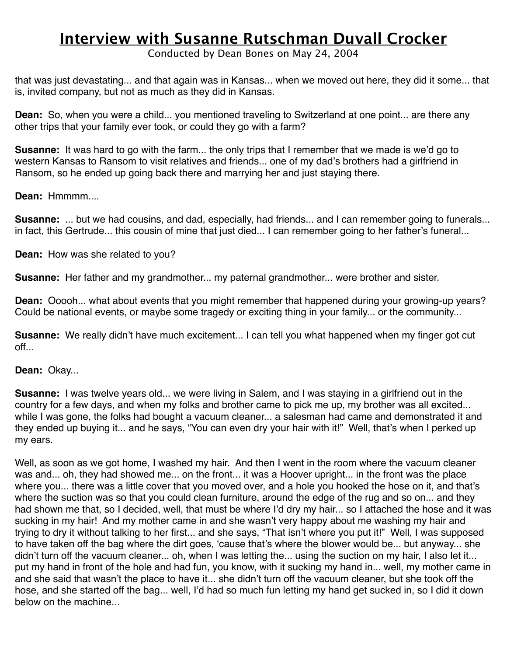Conducted by Dean Bones on May 24, 2004

that was just devastating... and that again was in Kansas... when we moved out here, they did it some... that is, invited company, but not as much as they did in Kansas.

**Dean:** So, when you were a child... you mentioned traveling to Switzerland at one point... are there any other trips that your family ever took, or could they go with a farm?

**Susanne:** It was hard to go with the farm... the only trips that I remember that we made is we'd go to western Kansas to Ransom to visit relatives and friends... one of my dad's brothers had a girlfriend in Ransom, so he ended up going back there and marrying her and just staying there.

**Dean:** Hmmmm....

**Susanne:** ... but we had cousins, and dad, especially, had friends... and I can remember going to funerals... in fact, this Gertrude... this cousin of mine that just died... I can remember going to her father's funeral...

**Dean:** How was she related to you?

**Susanne:** Her father and my grandmother... my paternal grandmother... were brother and sister.

**Dean:** Ooooh... what about events that you might remember that happened during your growing-up years? Could be national events, or maybe some tragedy or exciting thing in your family... or the community...

**Susanne:** We really didn't have much excitement... I can tell you what happened when my finger got cut off...

**Dean:** Okay...

**Susanne:** I was twelve years old... we were living in Salem, and I was staying in a girlfriend out in the country for a few days, and when my folks and brother came to pick me up, my brother was all excited... while I was gone, the folks had bought a vacuum cleaner... a salesman had came and demonstrated it and they ended up buying it... and he says, "You can even dry your hair with it!" Well, that's when I perked up my ears.

Well, as soon as we got home, I washed my hair. And then I went in the room where the vacuum cleaner was and... oh, they had showed me... on the front... it was a Hoover upright... in the front was the place where you... there was a little cover that you moved over, and a hole you hooked the hose on it, and that's where the suction was so that you could clean furniture, around the edge of the rug and so on... and they had shown me that, so I decided, well, that must be where I'd dry my hair... so I attached the hose and it was sucking in my hair! And my mother came in and she wasn't very happy about me washing my hair and trying to dry it without talking to her first... and she says, "That isn't where you put it!" Well, I was supposed to have taken off the bag where the dirt goes, ʻcause that's where the blower would be... but anyway... she didn't turn off the vacuum cleaner... oh, when I was letting the... using the suction on my hair, I also let it... put my hand in front of the hole and had fun, you know, with it sucking my hand in... well, my mother came in and she said that wasn't the place to have it... she didn't turn off the vacuum cleaner, but she took off the hose, and she started off the bag... well, I'd had so much fun letting my hand get sucked in, so I did it down below on the machine...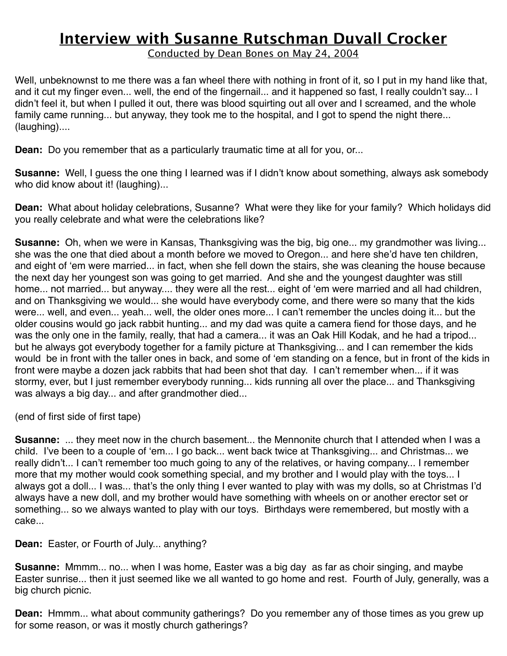Conducted by Dean Bones on May 24, 2004

Well, unbeknownst to me there was a fan wheel there with nothing in front of it, so I put in my hand like that, and it cut my finger even... well, the end of the fingernail... and it happened so fast, I really couldn't say... I didn't feel it, but when I pulled it out, there was blood squirting out all over and I screamed, and the whole family came running... but anyway, they took me to the hospital, and I got to spend the night there... (laughing)....

**Dean:** Do you remember that as a particularly traumatic time at all for you, or...

**Susanne:** Well, I guess the one thing I learned was if I didn't know about something, always ask somebody who did know about it! (laughing)...

**Dean:** What about holiday celebrations, Susanne? What were they like for your family? Which holidays did you really celebrate and what were the celebrations like?

**Susanne:** Oh, when we were in Kansas, Thanksgiving was the big, big one... my grandmother was living... she was the one that died about a month before we moved to Oregon... and here she'd have ten children, and eight of ʻem were married... in fact, when she fell down the stairs, she was cleaning the house because the next day her youngest son was going to get married. And she and the youngest daughter was still home... not married... but anyway.... they were all the rest... eight of ʻem were married and all had children, and on Thanksgiving we would... she would have everybody come, and there were so many that the kids were... well, and even... yeah... well, the older ones more... I can't remember the uncles doing it... but the older cousins would go jack rabbit hunting... and my dad was quite a camera fiend for those days, and he was the only one in the family, really, that had a camera... it was an Oak Hill Kodak, and he had a tripod... but he always got everybody together for a family picture at Thanksgiving... and I can remember the kids would be in front with the taller ones in back, and some of ʻem standing on a fence, but in front of the kids in front were maybe a dozen jack rabbits that had been shot that day. I can't remember when... if it was stormy, ever, but I just remember everybody running... kids running all over the place... and Thanksgiving was always a big day... and after grandmother died...

(end of first side of first tape)

**Susanne:** ... they meet now in the church basement... the Mennonite church that I attended when I was a child. I've been to a couple of ʻem... I go back... went back twice at Thanksgiving... and Christmas... we really didn't... I can't remember too much going to any of the relatives, or having company... I remember more that my mother would cook something special, and my brother and I would play with the toys... I always got a doll... I was... that's the only thing I ever wanted to play with was my dolls, so at Christmas I'd always have a new doll, and my brother would have something with wheels on or another erector set or something... so we always wanted to play with our toys. Birthdays were remembered, but mostly with a cake...

**Dean:** Easter, or Fourth of July... anything?

**Susanne:** Mmmm... no... when I was home, Easter was a big day as far as choir singing, and maybe Easter sunrise... then it just seemed like we all wanted to go home and rest. Fourth of July, generally, was a big church picnic.

**Dean:** Hmmm... what about community gatherings? Do you remember any of those times as you grew up for some reason, or was it mostly church gatherings?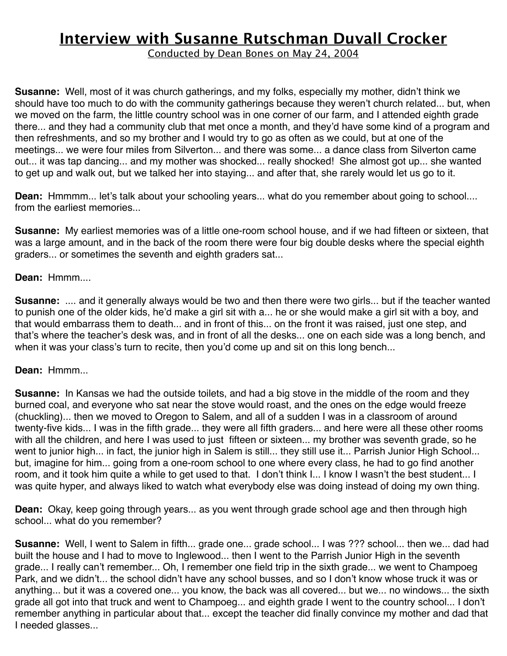Conducted by Dean Bones on May 24, 2004

**Susanne:** Well, most of it was church gatherings, and my folks, especially my mother, didn't think we should have too much to do with the community gatherings because they weren't church related... but, when we moved on the farm, the little country school was in one corner of our farm, and I attended eighth grade there... and they had a community club that met once a month, and they'd have some kind of a program and then refreshments, and so my brother and I would try to go as often as we could, but at one of the meetings... we were four miles from Silverton... and there was some... a dance class from Silverton came out... it was tap dancing... and my mother was shocked... really shocked! She almost got up... she wanted to get up and walk out, but we talked her into staying... and after that, she rarely would let us go to it.

**Dean:** Hmmmm... let's talk about your schooling years... what do you remember about going to school.... from the earliest memories...

**Susanne:** My earliest memories was of a little one-room school house, and if we had fifteen or sixteen, that was a large amount, and in the back of the room there were four big double desks where the special eighth graders... or sometimes the seventh and eighth graders sat...

### **Dean:** Hmmm....

**Susanne:** .... and it generally always would be two and then there were two girls... but if the teacher wanted to punish one of the older kids, he'd make a girl sit with a... he or she would make a girl sit with a boy, and that would embarrass them to death... and in front of this... on the front it was raised, just one step, and that's where the teacher's desk was, and in front of all the desks... one on each side was a long bench, and when it was your class's turn to recite, then you'd come up and sit on this long bench...

### **Dean:** Hmmm...

**Susanne:** In Kansas we had the outside toilets, and had a big stove in the middle of the room and they burned coal, and everyone who sat near the stove would roast, and the ones on the edge would freeze (chuckling)... then we moved to Oregon to Salem, and all of a sudden I was in a classroom of around twenty-five kids... I was in the fifth grade... they were all fifth graders... and here were all these other rooms with all the children, and here I was used to just fifteen or sixteen... my brother was seventh grade, so he went to junior high... in fact, the junior high in Salem is still... they still use it... Parrish Junior High School... but, imagine for him... going from a one-room school to one where every class, he had to go find another room, and it took him quite a while to get used to that. I don't think I... I know I wasn't the best student... I was quite hyper, and always liked to watch what everybody else was doing instead of doing my own thing.

**Dean:** Okay, keep going through years... as you went through grade school age and then through high school... what do you remember?

**Susanne:** Well, I went to Salem in fifth... grade one... grade school... I was ??? school... then we... dad had built the house and I had to move to Inglewood... then I went to the Parrish Junior High in the seventh grade... I really can't remember... Oh, I remember one field trip in the sixth grade... we went to Champoeg Park, and we didn't... the school didn't have any school busses, and so I don't know whose truck it was or anything... but it was a covered one... you know, the back was all covered... but we... no windows... the sixth grade all got into that truck and went to Champoeg... and eighth grade I went to the country school... I don't remember anything in particular about that... except the teacher did finally convince my mother and dad that I needed glasses...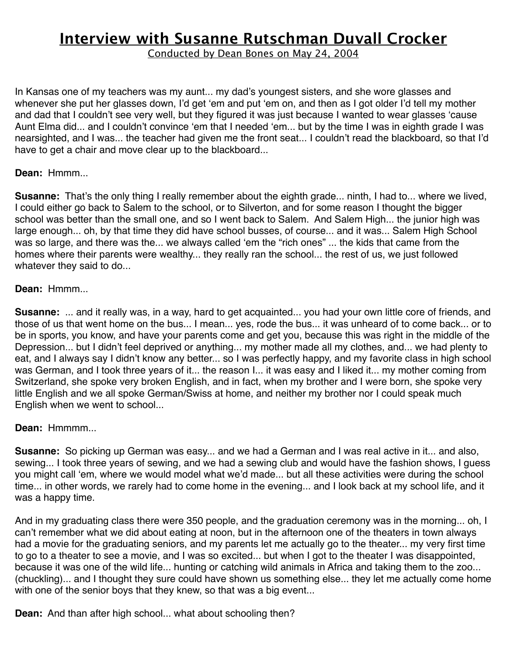Conducted by Dean Bones on May 24, 2004

In Kansas one of my teachers was my aunt... my dad's youngest sisters, and she wore glasses and whenever she put her glasses down, I'd get ʻem and put ʻem on, and then as I got older I'd tell my mother and dad that I couldn't see very well, but they figured it was just because I wanted to wear glasses ʻcause Aunt Elma did... and I couldn't convince ʻem that I needed ʻem... but by the time I was in eighth grade I was nearsighted, and I was... the teacher had given me the front seat... I couldn't read the blackboard, so that I'd have to get a chair and move clear up to the blackboard...

### **Dean:** Hmmm...

**Susanne:** That's the only thing I really remember about the eighth grade... ninth, I had to... where we lived, I could either go back to Salem to the school, or to Silverton, and for some reason I thought the bigger school was better than the small one, and so I went back to Salem. And Salem High... the junior high was large enough... oh, by that time they did have school busses, of course... and it was... Salem High School was so large, and there was the... we always called ʻem the "rich ones" ... the kids that came from the homes where their parents were wealthy... they really ran the school... the rest of us, we just followed whatever they said to do...

#### **Dean:** Hmmm...

**Susanne:** ... and it really was, in a way, hard to get acquainted... you had your own little core of friends, and those of us that went home on the bus... I mean... yes, rode the bus... it was unheard of to come back... or to be in sports, you know, and have your parents come and get you, because this was right in the middle of the Depression... but I didn't feel deprived or anything... my mother made all my clothes, and... we had plenty to eat, and I always say I didn't know any better... so I was perfectly happy, and my favorite class in high school was German, and I took three years of it... the reason I... it was easy and I liked it... my mother coming from Switzerland, she spoke very broken English, and in fact, when my brother and I were born, she spoke very little English and we all spoke German/Swiss at home, and neither my brother nor I could speak much English when we went to school...

#### **Dean:** Hmmmm...

**Susanne:** So picking up German was easy... and we had a German and I was real active in it... and also, sewing... I took three years of sewing, and we had a sewing club and would have the fashion shows, I guess you might call ʻem, where we would model what we'd made... but all these activities were during the school time... in other words, we rarely had to come home in the evening... and I look back at my school life, and it was a happy time.

And in my graduating class there were 350 people, and the graduation ceremony was in the morning... oh, I can't remember what we did about eating at noon, but in the afternoon one of the theaters in town always had a movie for the graduating seniors, and my parents let me actually go to the theater... my very first time to go to a theater to see a movie, and I was so excited... but when I got to the theater I was disappointed, because it was one of the wild life... hunting or catching wild animals in Africa and taking them to the zoo... (chuckling)... and I thought they sure could have shown us something else... they let me actually come home with one of the senior boys that they knew, so that was a big event...

**Dean:** And than after high school... what about schooling then?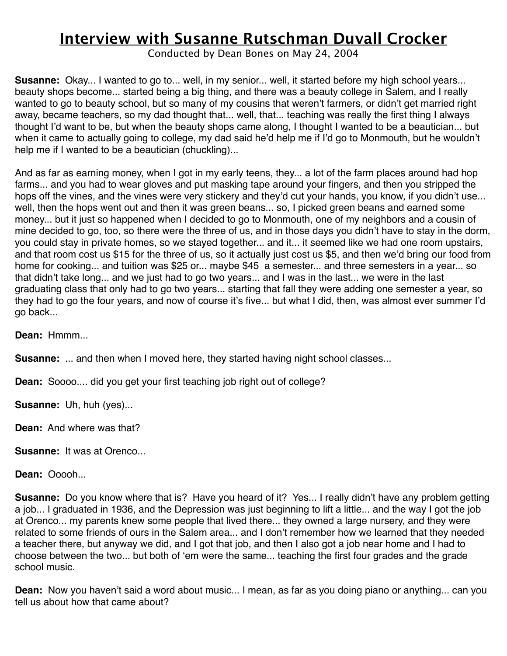Conducted by Dean Bones on May 24, 2004

**Susanne:** Okay... I wanted to go to... well, in my senior... well, it started before my high school years... beauty shops become... started being a big thing, and there was a beauty college in Salem, and I really wanted to go to beauty school, but so many of my cousins that weren't farmers, or didn't get married right away, became teachers, so my dad thought that... well, that... teaching was really the first thing I always thought I'd want to be, but when the beauty shops came along, I thought I wanted to be a beautician... but when it came to actually going to college, my dad said he'd help me if I'd go to Monmouth, but he wouldn't help me if I wanted to be a beautician (chuckling)...

And as far as earning money, when I got in my early teens, they... a lot of the farm places around had hop farms... and you had to wear gloves and put masking tape around your fingers, and then you stripped the hops off the vines, and the vines were very stickery and they'd cut your hands, you know, if you didn't use... well, then the hops went out and then it was green beans... so, I picked green beans and earned some money... but it just so happened when I decided to go to Monmouth, one of my neighbors and a cousin of mine decided to go, too, so there were the three of us, and in those days you didn't have to stay in the dorm, you could stay in private homes, so we stayed together... and it... it seemed like we had one room upstairs, and that room cost us \$15 for the three of us, so it actually just cost us \$5, and then we'd bring our food from home for cooking... and tuition was \$25 or... maybe \$45 a semester... and three semesters in a year... so that didn't take long... and we just had to go two years... and I was in the last... we were in the last graduating class that only had to go two years... starting that fall they were adding one semester a year, so they had to go the four years, and now of course it's five... but what I did, then, was almost ever summer I'd go back...

**Dean:** Hmmm...

**Susanne:** ... and then when I moved here, they started having night school classes...

**Dean:** Soooo.... did you get your first teaching job right out of college?

**Susanne:** Uh, huh (yes)...

**Dean:** And where was that?

**Susanne:** It was at Orenco...

**Dean:** Ooooh...

**Susanne:** Do you know where that is? Have you heard of it? Yes... I really didn't have any problem getting a job... I graduated in 1936, and the Depression was just beginning to lift a little... and the way I got the job at Orenco... my parents knew some people that lived there... they owned a large nursery, and they were related to some friends of ours in the Salem area... and I don't remember how we learned that they needed a teacher there, but anyway we did, and I got that job, and then I also got a job near home and I had to choose between the two... but both of ʻem were the same... teaching the first four grades and the grade school music.

**Dean:** Now you haven't said a word about music... I mean, as far as you doing piano or anything... can you tell us about how that came about?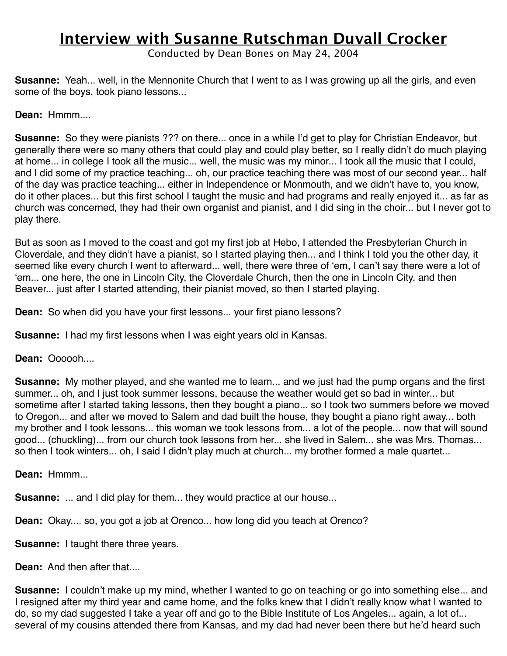Conducted by Dean Bones on May 24, 2004

**Susanne:** Yeah... well, in the Mennonite Church that I went to as I was growing up all the girls, and even some of the boys, took piano lessons...

**Dean:** Hmmm....

**Susanne:** So they were pianists ??? on there... once in a while I'd get to play for Christian Endeavor, but generally there were so many others that could play and could play better, so I really didn't do much playing at home... in college I took all the music... well, the music was my minor... I took all the music that I could, and I did some of my practice teaching... oh, our practice teaching there was most of our second year... half of the day was practice teaching... either in Independence or Monmouth, and we didn't have to, you know, do it other places... but this first school I taught the music and had programs and really enjoyed it... as far as church was concerned, they had their own organist and pianist, and I did sing in the choir... but I never got to play there.

But as soon as I moved to the coast and got my first job at Hebo, I attended the Presbyterian Church in Cloverdale, and they didn't have a pianist, so I started playing then... and I think I told you the other day, it seemed like every church I went to afterward... well, there were three of ʻem, I can't say there were a lot of ʻem... one here, the one in Lincoln City, the Cloverdale Church, then the one in Lincoln City, and then Beaver... just after I started attending, their pianist moved, so then I started playing.

**Dean:** So when did you have your first lessons... your first piano lessons?

**Susanne:** I had my first lessons when I was eight years old in Kansas.

**Dean:** Oooooh....

**Susanne:** My mother played, and she wanted me to learn... and we just had the pump organs and the first summer... oh, and I just took summer lessons, because the weather would get so bad in winter... but sometime after I started taking lessons, then they bought a piano... so I took two summers before we moved to Oregon... and after we moved to Salem and dad built the house, they bought a piano right away... both my brother and I took lessons... this woman we took lessons from... a lot of the people... now that will sound good... (chuckling)... from our church took lessons from her... she lived in Salem... she was Mrs. Thomas... so then I took winters... oh, I said I didn't play much at church... my brother formed a male quartet...

**Dean:** Hmmm...

**Susanne:** ... and I did play for them... they would practice at our house...

**Dean:** Okay.... so, you got a job at Orenco... how long did you teach at Orenco?

**Susanne:** I taught there three years.

**Dean:** And then after that....

**Susanne:** I couldn't make up my mind, whether I wanted to go on teaching or go into something else... and I resigned after my third year and came home, and the folks knew that I didn't really know what I wanted to do, so my dad suggested I take a year off and go to the Bible Institute of Los Angeles... again, a lot of... several of my cousins attended there from Kansas, and my dad had never been there but he'd heard such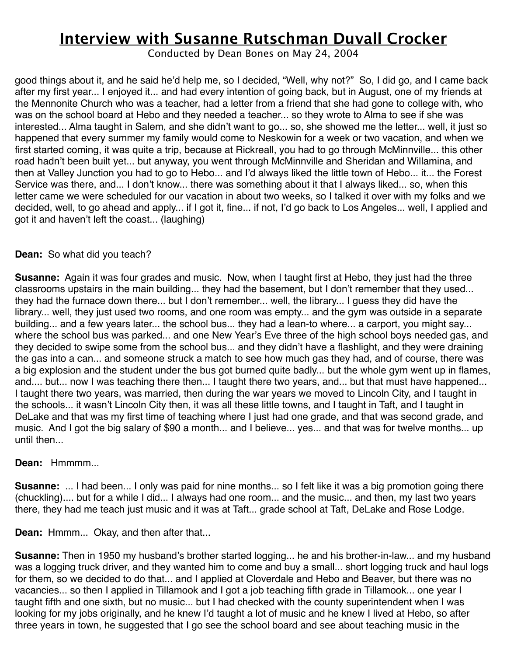Conducted by Dean Bones on May 24, 2004

good things about it, and he said he'd help me, so I decided, "Well, why not?" So, I did go, and I came back after my first year... I enjoyed it... and had every intention of going back, but in August, one of my friends at the Mennonite Church who was a teacher, had a letter from a friend that she had gone to college with, who was on the school board at Hebo and they needed a teacher... so they wrote to Alma to see if she was interested... Alma taught in Salem, and she didn't want to go... so, she showed me the letter... well, it just so happened that every summer my family would come to Neskowin for a week or two vacation, and when we first started coming, it was quite a trip, because at Rickreall, you had to go through McMinnville... this other road hadn't been built yet... but anyway, you went through McMinnville and Sheridan and Willamina, and then at Valley Junction you had to go to Hebo... and I'd always liked the little town of Hebo... it... the Forest Service was there, and... I don't know... there was something about it that I always liked... so, when this letter came we were scheduled for our vacation in about two weeks, so I talked it over with my folks and we decided, well, to go ahead and apply... if I got it, fine... if not, I'd go back to Los Angeles... well, I applied and got it and haven't left the coast... (laughing)

### **Dean:** So what did you teach?

**Susanne:** Again it was four grades and music. Now, when I taught first at Hebo, they just had the three classrooms upstairs in the main building... they had the basement, but I don't remember that they used... they had the furnace down there... but I don't remember... well, the library... I guess they did have the library... well, they just used two rooms, and one room was empty... and the gym was outside in a separate building... and a few years later... the school bus... they had a lean-to where... a carport, you might say... where the school bus was parked... and one New Year's Eve three of the high school boys needed gas, and they decided to swipe some from the school bus... and they didn't have a flashlight, and they were draining the gas into a can... and someone struck a match to see how much gas they had, and of course, there was a big explosion and the student under the bus got burned quite badly... but the whole gym went up in flames, and.... but... now I was teaching there then... I taught there two years, and... but that must have happened... I taught there two years, was married, then during the war years we moved to Lincoln City, and I taught in the schools... it wasn't Lincoln City then, it was all these little towns, and I taught in Taft, and I taught in DeLake and that was my first time of teaching where I just had one grade, and that was second grade, and music. And I got the big salary of \$90 a month... and I believe... yes... and that was for twelve months... up until then...

### **Dean:** Hmmmm...

**Susanne:** ... I had been... I only was paid for nine months... so I felt like it was a big promotion going there (chuckling).... but for a while I did... I always had one room... and the music... and then, my last two years there, they had me teach just music and it was at Taft... grade school at Taft, DeLake and Rose Lodge.

**Dean:** Hmmm... Okay, and then after that...

**Susanne:** Then in 1950 my husband's brother started logging... he and his brother-in-law... and my husband was a logging truck driver, and they wanted him to come and buy a small... short logging truck and haul logs for them, so we decided to do that... and I applied at Cloverdale and Hebo and Beaver, but there was no vacancies... so then I applied in Tillamook and I got a job teaching fifth grade in Tillamook... one year I taught fifth and one sixth, but no music... but I had checked with the county superintendent when I was looking for my jobs originally, and he knew I'd taught a lot of music and he knew I lived at Hebo, so after three years in town, he suggested that I go see the school board and see about teaching music in the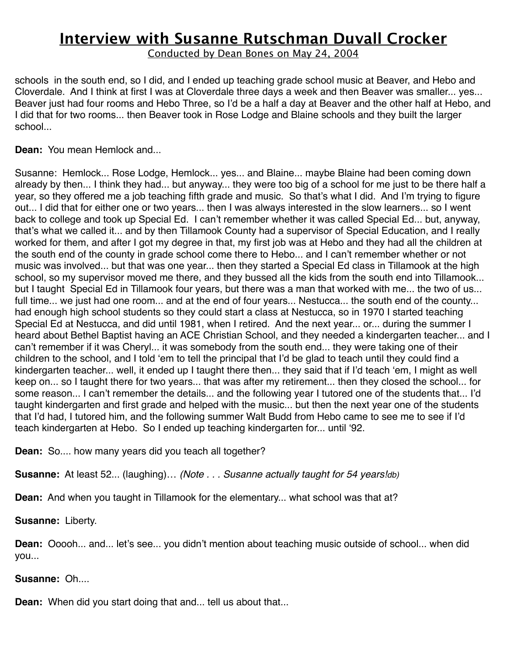Conducted by Dean Bones on May 24, 2004

schools in the south end, so I did, and I ended up teaching grade school music at Beaver, and Hebo and Cloverdale. And I think at first I was at Cloverdale three days a week and then Beaver was smaller... yes... Beaver just had four rooms and Hebo Three, so I'd be a half a day at Beaver and the other half at Hebo, and I did that for two rooms... then Beaver took in Rose Lodge and Blaine schools and they built the larger school...

**Dean:** You mean Hemlock and...

Susanne: Hemlock... Rose Lodge, Hemlock... yes... and Blaine... maybe Blaine had been coming down already by then... I think they had... but anyway... they were too big of a school for me just to be there half a year, so they offered me a job teaching fifth grade and music. So that's what I did. And I'm trying to figure out... I did that for either one or two years... then I was always interested in the slow learners... so I went back to college and took up Special Ed. I can't remember whether it was called Special Ed... but, anyway, that's what we called it... and by then Tillamook County had a supervisor of Special Education, and I really worked for them, and after I got my degree in that, my first job was at Hebo and they had all the children at the south end of the county in grade school come there to Hebo... and I can't remember whether or not music was involved... but that was one year... then they started a Special Ed class in Tillamook at the high school, so my supervisor moved me there, and they bussed all the kids from the south end into Tillamook... but I taught Special Ed in Tillamook four years, but there was a man that worked with me... the two of us... full time... we just had one room... and at the end of four years... Nestucca... the south end of the county... had enough high school students so they could start a class at Nestucca, so in 1970 I started teaching Special Ed at Nestucca, and did until 1981, when I retired. And the next year... or... during the summer I heard about Bethel Baptist having an ACE Christian School, and they needed a kindergarten teacher... and I can't remember if it was Cheryl... it was somebody from the south end... they were taking one of their children to the school, and I told ʻem to tell the principal that I'd be glad to teach until they could find a kindergarten teacher... well, it ended up I taught there then... they said that if I'd teach ʻem, I might as well keep on... so I taught there for two years... that was after my retirement... then they closed the school... for some reason... I can't remember the details... and the following year I tutored one of the students that... I'd taught kindergarten and first grade and helped with the music... but then the next year one of the students that I'd had, I tutored him, and the following summer Walt Budd from Hebo came to see me to see if I'd teach kindergarten at Hebo. So I ended up teaching kindergarten for... until ʻ92.

**Dean:** So.... how many years did you teach all together?

**Susanne:** At least 52... (laughing)… *(Note . . . Susanne actually taught for 54 years!db)*

**Dean:** And when you taught in Tillamook for the elementary... what school was that at?

**Susanne:** Liberty.

**Dean:** Ooooh... and... let's see... you didn't mention about teaching music outside of school... when did you...

**Susanne:** Oh....

**Dean:** When did you start doing that and... tell us about that...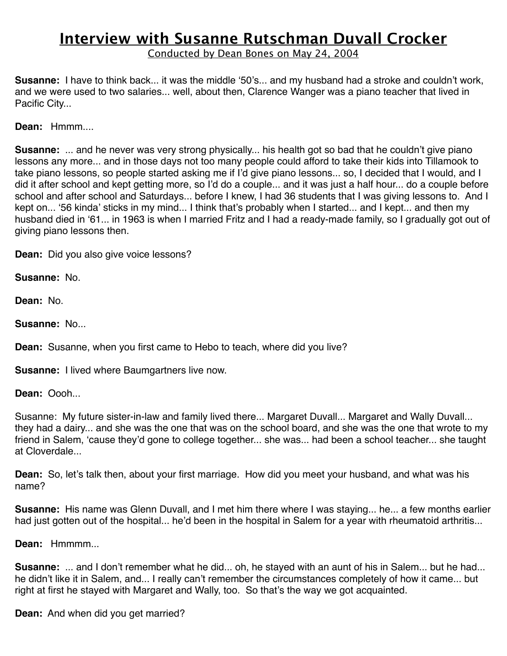Conducted by Dean Bones on May 24, 2004

**Susanne:** I have to think back... it was the middle ʻ50's... and my husband had a stroke and couldn't work, and we were used to two salaries... well, about then, Clarence Wanger was a piano teacher that lived in Pacific City...

**Dean:** Hmmm....

**Susanne:** ... and he never was very strong physically... his health got so bad that he couldn't give piano lessons any more... and in those days not too many people could afford to take their kids into Tillamook to take piano lessons, so people started asking me if I'd give piano lessons... so, I decided that I would, and I did it after school and kept getting more, so I'd do a couple... and it was just a half hour... do a couple before school and after school and Saturdays... before I knew, I had 36 students that I was giving lessons to. And I kept on... ʻ56 kinda' sticks in my mind... I think that's probably when I started... and I kept... and then my husband died in ʻ61... in 1963 is when I married Fritz and I had a ready-made family, so I gradually got out of giving piano lessons then.

**Dean:** Did you also give voice lessons?

**Susanne:** No.

**Dean:** No.

**Susanne:** No...

**Dean:** Susanne, when you first came to Hebo to teach, where did you live?

**Susanne:** I lived where Baumgartners live now.

**Dean:** Oooh...

Susanne: My future sister-in-law and family lived there... Margaret Duvall... Margaret and Wally Duvall... they had a dairy... and she was the one that was on the school board, and she was the one that wrote to my friend in Salem, ʻcause they'd gone to college together... she was... had been a school teacher... she taught at Cloverdale...

**Dean:** So, let's talk then, about your first marriage. How did you meet your husband, and what was his name?

**Susanne:** His name was Glenn Duvall, and I met him there where I was staying... he... a few months earlier had just gotten out of the hospital... he'd been in the hospital in Salem for a year with rheumatoid arthritis...

**Dean:** Hmmmm...

**Susanne:** ... and I don't remember what he did... oh, he stayed with an aunt of his in Salem... but he had... he didn't like it in Salem, and... I really can't remember the circumstances completely of how it came... but right at first he stayed with Margaret and Wally, too. So that's the way we got acquainted.

**Dean:** And when did you get married?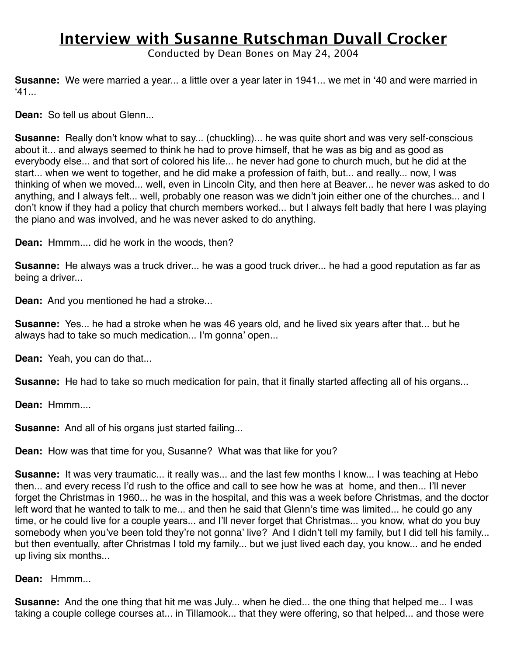Conducted by Dean Bones on May 24, 2004

**Susanne:** We were married a year... a little over a year later in 1941... we met in ʻ40 and were married in  $41.$ 

**Dean:** So tell us about Glenn...

**Susanne:** Really don't know what to say... (chuckling)... he was quite short and was very self-conscious about it... and always seemed to think he had to prove himself, that he was as big and as good as everybody else... and that sort of colored his life... he never had gone to church much, but he did at the start... when we went to together, and he did make a profession of faith, but... and really... now, I was thinking of when we moved... well, even in Lincoln City, and then here at Beaver... he never was asked to do anything, and I always felt... well, probably one reason was we didn't join either one of the churches... and I don't know if they had a policy that church members worked... but I always felt badly that here I was playing the piano and was involved, and he was never asked to do anything.

**Dean:** Hmmm.... did he work in the woods, then?

**Susanne:** He always was a truck driver... he was a good truck driver... he had a good reputation as far as being a driver...

**Dean:** And you mentioned he had a stroke...

**Susanne:** Yes... he had a stroke when he was 46 years old, and he lived six years after that... but he always had to take so much medication... I'm gonna' open...

**Dean:** Yeah, you can do that...

**Susanne:** He had to take so much medication for pain, that it finally started affecting all of his organs...

**Dean:** Hmmm....

**Susanne:** And all of his organs just started failing...

**Dean:** How was that time for you, Susanne? What was that like for you?

**Susanne:** It was very traumatic... it really was... and the last few months I know... I was teaching at Hebo then... and every recess I'd rush to the office and call to see how he was at home, and then... I'll never forget the Christmas in 1960... he was in the hospital, and this was a week before Christmas, and the doctor left word that he wanted to talk to me... and then he said that Glenn's time was limited... he could go any time, or he could live for a couple years... and I'll never forget that Christmas... you know, what do you buy somebody when you've been told they're not gonna' live? And I didn't tell my family, but I did tell his family... but then eventually, after Christmas I told my family... but we just lived each day, you know... and he ended up living six months...

**Dean:** Hmmm...

**Susanne:** And the one thing that hit me was July... when he died... the one thing that helped me... I was taking a couple college courses at... in Tillamook... that they were offering, so that helped... and those were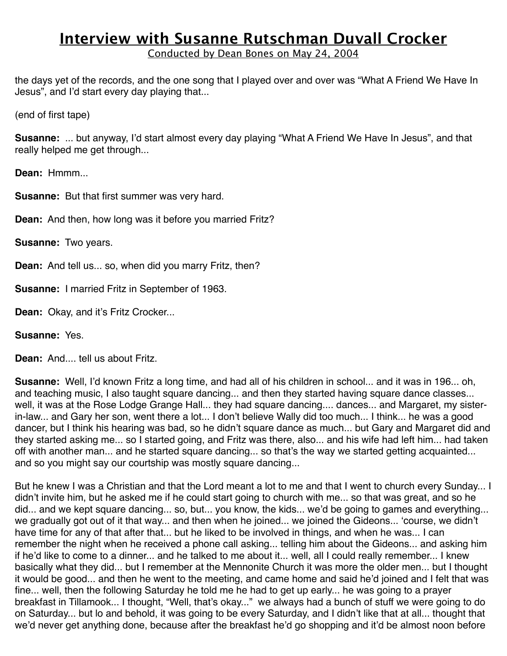Conducted by Dean Bones on May 24, 2004

the days yet of the records, and the one song that I played over and over was "What A Friend We Have In Jesus", and I'd start every day playing that...

(end of first tape)

**Susanne:** ... but anyway, I'd start almost every day playing "What A Friend We Have In Jesus", and that really helped me get through...

**Dean:** Hmmm...

**Susanne:** But that first summer was very hard.

**Dean:** And then, how long was it before you married Fritz?

**Susanne:** Two years.

**Dean:** And tell us... so, when did you marry Fritz, then?

**Susanne:** I married Fritz in September of 1963.

**Dean:** Okay, and it's Fritz Crocker...

**Susanne:** Yes.

**Dean:** And.... tell us about Fritz.

**Susanne:** Well, I'd known Fritz a long time, and had all of his children in school... and it was in 196... oh, and teaching music, I also taught square dancing... and then they started having square dance classes... well, it was at the Rose Lodge Grange Hall... they had square dancing.... dances... and Margaret, my sisterin-law... and Gary her son, went there a lot... I don't believe Wally did too much... I think... he was a good dancer, but I think his hearing was bad, so he didn't square dance as much... but Gary and Margaret did and they started asking me... so I started going, and Fritz was there, also... and his wife had left him... had taken off with another man... and he started square dancing... so that's the way we started getting acquainted... and so you might say our courtship was mostly square dancing...

But he knew I was a Christian and that the Lord meant a lot to me and that I went to church every Sunday... I didn't invite him, but he asked me if he could start going to church with me... so that was great, and so he did... and we kept square dancing... so, but... you know, the kids... we'd be going to games and everything... we gradually got out of it that way... and then when he joined... we joined the Gideons... ʻcourse, we didn't have time for any of that after that... but he liked to be involved in things, and when he was... I can remember the night when he received a phone call asking... telling him about the Gideons... and asking him if he'd like to come to a dinner... and he talked to me about it... well, all I could really remember... I knew basically what they did... but I remember at the Mennonite Church it was more the older men... but I thought it would be good... and then he went to the meeting, and came home and said he'd joined and I felt that was fine... well, then the following Saturday he told me he had to get up early... he was going to a prayer breakfast in Tillamook... I thought, "Well, that's okay..." we always had a bunch of stuff we were going to do on Saturday... but lo and behold, it was going to be every Saturday, and I didn't like that at all... thought that we'd never get anything done, because after the breakfast he'd go shopping and it'd be almost noon before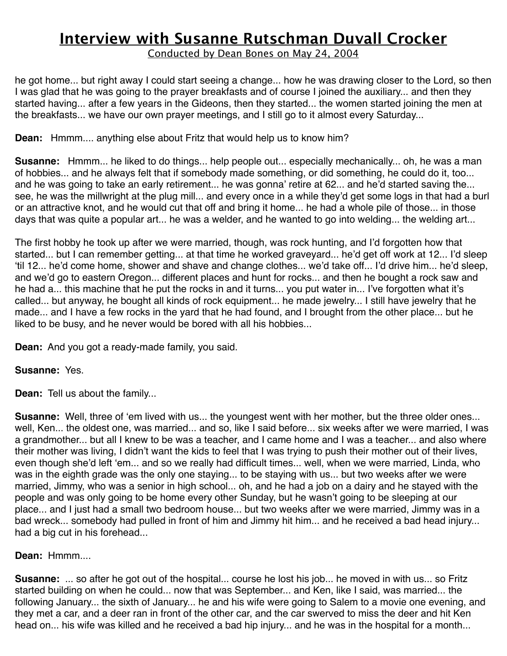Conducted by Dean Bones on May 24, 2004

he got home... but right away I could start seeing a change... how he was drawing closer to the Lord, so then I was glad that he was going to the prayer breakfasts and of course I joined the auxiliary... and then they started having... after a few years in the Gideons, then they started... the women started joining the men at the breakfasts... we have our own prayer meetings, and I still go to it almost every Saturday...

### **Dean:** Hmmm.... anything else about Fritz that would help us to know him?

**Susanne:** Hmmm... he liked to do things... help people out... especially mechanically... oh, he was a man of hobbies... and he always felt that if somebody made something, or did something, he could do it, too... and he was going to take an early retirement... he was gonna' retire at 62... and he'd started saving the... see, he was the millwright at the plug mill... and every once in a while they'd get some logs in that had a burl or an attractive knot, and he would cut that off and bring it home... he had a whole pile of those... in those days that was quite a popular art... he was a welder, and he wanted to go into welding... the welding art...

The first hobby he took up after we were married, though, was rock hunting, and I'd forgotten how that started... but I can remember getting... at that time he worked graveyard... he'd get off work at 12... I'd sleep ʻtil 12... he'd come home, shower and shave and change clothes... we'd take off... I'd drive him... he'd sleep, and we'd go to eastern Oregon... different places and hunt for rocks... and then he bought a rock saw and he had a... this machine that he put the rocks in and it turns... you put water in... I've forgotten what it's called... but anyway, he bought all kinds of rock equipment... he made jewelry... I still have jewelry that he made... and I have a few rocks in the yard that he had found, and I brought from the other place... but he liked to be busy, and he never would be bored with all his hobbies...

**Dean:** And you got a ready-made family, you said.

### **Susanne:** Yes.

**Dean:** Tell us about the family...

**Susanne:** Well, three of 'em lived with us... the youngest went with her mother, but the three older ones... well, Ken... the oldest one, was married... and so, like I said before... six weeks after we were married, I was a grandmother... but all I knew to be was a teacher, and I came home and I was a teacher... and also where their mother was living, I didn't want the kids to feel that I was trying to push their mother out of their lives, even though she'd left ʻem... and so we really had difficult times... well, when we were married, Linda, who was in the eighth grade was the only one staying... to be staying with us... but two weeks after we were married, Jimmy, who was a senior in high school... oh, and he had a job on a dairy and he stayed with the people and was only going to be home every other Sunday, but he wasn't going to be sleeping at our place... and I just had a small two bedroom house... but two weeks after we were married, Jimmy was in a bad wreck... somebody had pulled in front of him and Jimmy hit him... and he received a bad head injury... had a big cut in his forehead...

### **Dean:** Hmmm....

**Susanne:** ... so after he got out of the hospital... course he lost his job... he moved in with us... so Fritz started building on when he could... now that was September... and Ken, like I said, was married... the following January... the sixth of January... he and his wife were going to Salem to a movie one evening, and they met a car, and a deer ran in front of the other car, and the car swerved to miss the deer and hit Ken head on... his wife was killed and he received a bad hip injury... and he was in the hospital for a month...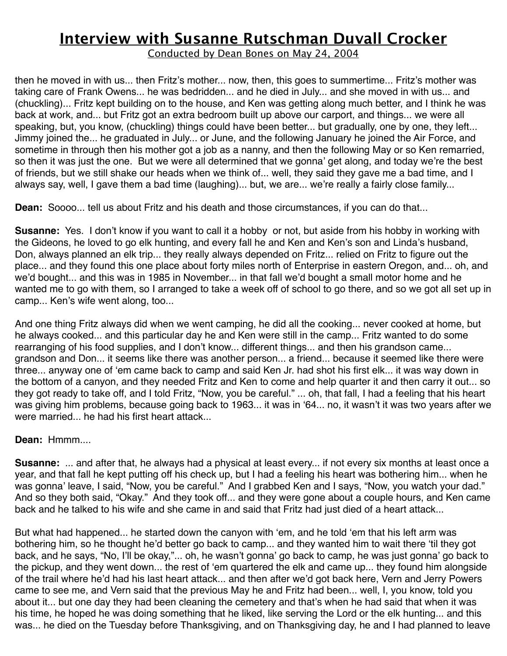Conducted by Dean Bones on May 24, 2004

then he moved in with us... then Fritz's mother... now, then, this goes to summertime... Fritz's mother was taking care of Frank Owens... he was bedridden... and he died in July... and she moved in with us... and (chuckling)... Fritz kept building on to the house, and Ken was getting along much better, and I think he was back at work, and... but Fritz got an extra bedroom built up above our carport, and things... we were all speaking, but, you know, (chuckling) things could have been better... but gradually, one by one, they left... Jimmy joined the... he graduated in July... or June, and the following January he joined the Air Force, and sometime in through then his mother got a job as a nanny, and then the following May or so Ken remarried, so then it was just the one. But we were all determined that we gonna' get along, and today we're the best of friends, but we still shake our heads when we think of... well, they said they gave me a bad time, and I always say, well, I gave them a bad time (laughing)... but, we are... we're really a fairly close family...

**Dean:** Soooo... tell us about Fritz and his death and those circumstances, if you can do that...

**Susanne:** Yes. I don't know if you want to call it a hobby or not, but aside from his hobby in working with the Gideons, he loved to go elk hunting, and every fall he and Ken and Ken's son and Linda's husband, Don, always planned an elk trip... they really always depended on Fritz... relied on Fritz to figure out the place... and they found this one place about forty miles north of Enterprise in eastern Oregon, and... oh, and we'd bought... and this was in 1985 in November... in that fall we'd bought a small motor home and he wanted me to go with them, so I arranged to take a week off of school to go there, and so we got all set up in camp... Ken's wife went along, too...

And one thing Fritz always did when we went camping, he did all the cooking... never cooked at home, but he always cooked... and this particular day he and Ken were still in the camp... Fritz wanted to do some rearranging of his food supplies, and I don't know... different things... and then his grandson came... grandson and Don... it seems like there was another person... a friend... because it seemed like there were three... anyway one of ʻem came back to camp and said Ken Jr. had shot his first elk... it was way down in the bottom of a canyon, and they needed Fritz and Ken to come and help quarter it and then carry it out... so they got ready to take off, and I told Fritz, "Now, you be careful." ... oh, that fall, I had a feeling that his heart was giving him problems, because going back to 1963... it was in ʻ64... no, it wasn't it was two years after we were married... he had his first heart attack...

### **Dean:** Hmmm....

**Susanne:** ... and after that, he always had a physical at least every... if not every six months at least once a year, and that fall he kept putting off his check up, but I had a feeling his heart was bothering him... when he was gonna' leave, I said, "Now, you be careful." And I grabbed Ken and I says, "Now, you watch your dad." And so they both said, "Okay." And they took off... and they were gone about a couple hours, and Ken came back and he talked to his wife and she came in and said that Fritz had just died of a heart attack...

But what had happened... he started down the canyon with ʻem, and he told ʻem that his left arm was bothering him, so he thought he'd better go back to camp... and they wanted him to wait there ʻtil they got back, and he says, "No, I'll be okay,"... oh, he wasn't gonna' go back to camp, he was just gonna' go back to the pickup, and they went down... the rest of ʻem quartered the elk and came up... they found him alongside of the trail where he'd had his last heart attack... and then after we'd got back here, Vern and Jerry Powers came to see me, and Vern said that the previous May he and Fritz had been... well, I, you know, told you about it... but one day they had been cleaning the cemetery and that's when he had said that when it was his time, he hoped he was doing something that he liked, like serving the Lord or the elk hunting... and this was... he died on the Tuesday before Thanksgiving, and on Thanksgiving day, he and I had planned to leave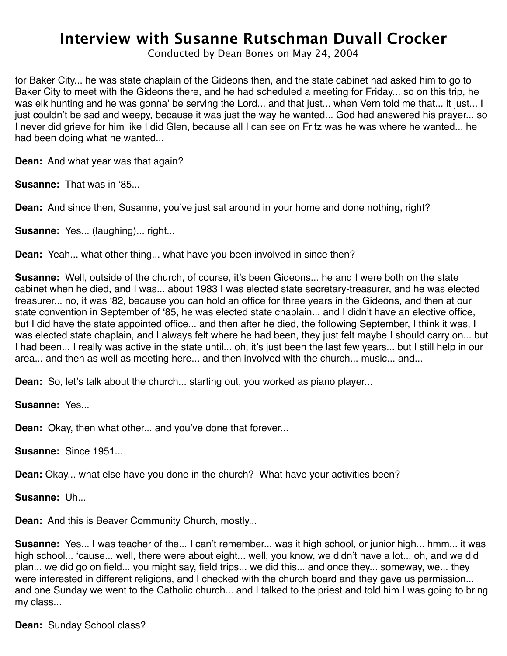Conducted by Dean Bones on May 24, 2004

for Baker City... he was state chaplain of the Gideons then, and the state cabinet had asked him to go to Baker City to meet with the Gideons there, and he had scheduled a meeting for Friday... so on this trip, he was elk hunting and he was gonna' be serving the Lord... and that just... when Vern told me that... it just... I just couldn't be sad and weepy, because it was just the way he wanted... God had answered his prayer... so I never did grieve for him like I did Glen, because all I can see on Fritz was he was where he wanted... he had been doing what he wanted...

**Dean:** And what year was that again?

**Susanne:** That was in ʻ85...

**Dean:** And since then, Susanne, you've just sat around in your home and done nothing, right?

**Susanne:** Yes... (laughing)... right...

**Dean:** Yeah... what other thing... what have you been involved in since then?

**Susanne:** Well, outside of the church, of course, it's been Gideons... he and I were both on the state cabinet when he died, and I was... about 1983 I was elected state secretary-treasurer, and he was elected treasurer... no, it was ʻ82, because you can hold an office for three years in the Gideons, and then at our state convention in September of ʻ85, he was elected state chaplain... and I didn't have an elective office, but I did have the state appointed office... and then after he died, the following September, I think it was, I was elected state chaplain, and I always felt where he had been, they just felt maybe I should carry on... but I had been... I really was active in the state until... oh, it's just been the last few years... but I still help in our area... and then as well as meeting here... and then involved with the church... music... and...

**Dean:** So, let's talk about the church... starting out, you worked as piano player...

**Susanne:** Yes...

**Dean:** Okay, then what other... and you've done that forever...

**Susanne:** Since 1951...

**Dean:** Okay... what else have you done in the church? What have your activities been?

**Susanne:** Uh...

**Dean:** And this is Beaver Community Church, mostly...

**Susanne:** Yes... I was teacher of the... I can't remember... was it high school, or junior high... hmm... it was high school... ʻcause... well, there were about eight... well, you know, we didn't have a lot... oh, and we did plan... we did go on field... you might say, field trips... we did this... and once they... someway, we... they were interested in different religions, and I checked with the church board and they gave us permission... and one Sunday we went to the Catholic church... and I talked to the priest and told him I was going to bring my class...

**Dean:** Sunday School class?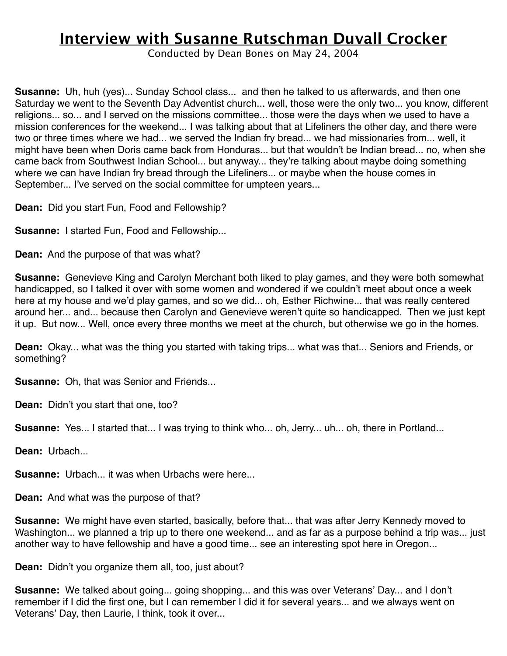Conducted by Dean Bones on May 24, 2004

**Susanne:** Uh, huh (yes)... Sunday School class... and then he talked to us afterwards, and then one Saturday we went to the Seventh Day Adventist church... well, those were the only two... you know, different religions... so... and I served on the missions committee... those were the days when we used to have a mission conferences for the weekend... I was talking about that at Lifeliners the other day, and there were two or three times where we had... we served the Indian fry bread... we had missionaries from... well, it might have been when Doris came back from Honduras... but that wouldn't be Indian bread... no, when she came back from Southwest Indian School... but anyway... they're talking about maybe doing something where we can have Indian fry bread through the Lifeliners... or maybe when the house comes in September... I've served on the social committee for umpteen years...

**Dean:** Did you start Fun, Food and Fellowship?

**Susanne:** I started Fun, Food and Fellowship...

**Dean:** And the purpose of that was what?

**Susanne:** Genevieve King and Carolyn Merchant both liked to play games, and they were both somewhat handicapped, so I talked it over with some women and wondered if we couldn't meet about once a week here at my house and we'd play games, and so we did... oh, Esther Richwine... that was really centered around her... and... because then Carolyn and Genevieve weren't quite so handicapped. Then we just kept it up. But now... Well, once every three months we meet at the church, but otherwise we go in the homes.

**Dean:** Okay... what was the thing you started with taking trips... what was that... Seniors and Friends, or something?

**Susanne:** Oh, that was Senior and Friends...

**Dean:** Didn't you start that one, too?

**Susanne:** Yes... I started that... I was trying to think who... oh, Jerry... uh... oh, there in Portland...

**Dean:** Urbach...

**Susanne:** Urbach... it was when Urbachs were here...

**Dean:** And what was the purpose of that?

**Susanne:** We might have even started, basically, before that... that was after Jerry Kennedy moved to Washington... we planned a trip up to there one weekend... and as far as a purpose behind a trip was... just another way to have fellowship and have a good time... see an interesting spot here in Oregon...

**Dean:** Didn't you organize them all, too, just about?

**Susanne:** We talked about going... going shopping... and this was over Veterans' Day... and I don't remember if I did the first one, but I can remember I did it for several years... and we always went on Veterans' Day, then Laurie, I think, took it over...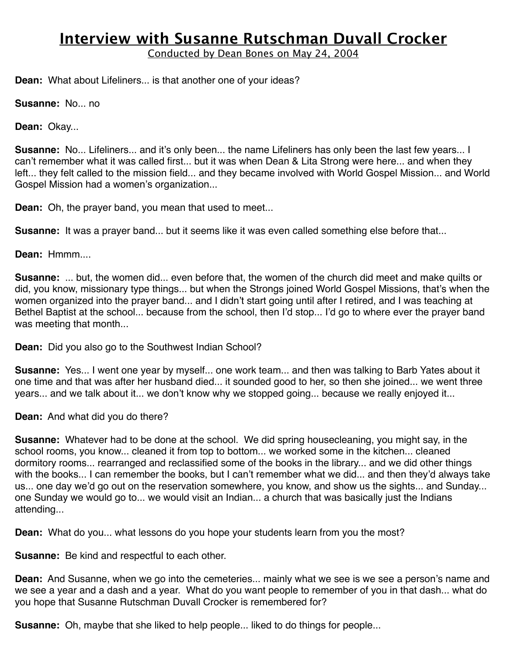Conducted by Dean Bones on May 24, 2004

**Dean:** What about Lifeliners... is that another one of your ideas?

**Susanne:** No... no

**Dean:** Okay...

**Susanne:** No... Lifeliners... and it's only been... the name Lifeliners has only been the last few years... I can't remember what it was called first... but it was when Dean & Lita Strong were here... and when they left... they felt called to the mission field... and they became involved with World Gospel Mission... and World Gospel Mission had a women's organization...

**Dean:** Oh, the prayer band, you mean that used to meet...

**Susanne:** It was a prayer band... but it seems like it was even called something else before that...

**Dean:** Hmmm....

**Susanne:** ... but, the women did... even before that, the women of the church did meet and make quilts or did, you know, missionary type things... but when the Strongs joined World Gospel Missions, that's when the women organized into the prayer band... and I didn't start going until after I retired, and I was teaching at Bethel Baptist at the school... because from the school, then I'd stop... I'd go to where ever the prayer band was meeting that month...

**Dean:** Did you also go to the Southwest Indian School?

**Susanne:** Yes... I went one year by myself... one work team... and then was talking to Barb Yates about it one time and that was after her husband died... it sounded good to her, so then she joined... we went three years... and we talk about it... we don't know why we stopped going... because we really enjoyed it...

**Dean:** And what did you do there?

**Susanne:** Whatever had to be done at the school. We did spring housecleaning, you might say, in the school rooms, you know... cleaned it from top to bottom... we worked some in the kitchen... cleaned dormitory rooms... rearranged and reclassified some of the books in the library... and we did other things with the books... I can remember the books, but I can't remember what we did... and then they'd always take us... one day we'd go out on the reservation somewhere, you know, and show us the sights... and Sunday... one Sunday we would go to... we would visit an Indian... a church that was basically just the Indians attending...

**Dean:** What do you... what lessons do you hope your students learn from you the most?

**Susanne:** Be kind and respectful to each other.

**Dean:** And Susanne, when we go into the cemeteries... mainly what we see is we see a person's name and we see a year and a dash and a year. What do you want people to remember of you in that dash... what do you hope that Susanne Rutschman Duvall Crocker is remembered for?

**Susanne:** Oh, maybe that she liked to help people... liked to do things for people...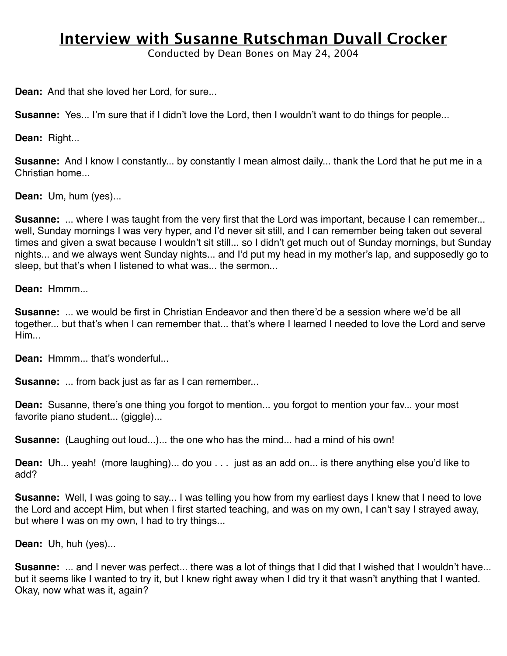Conducted by Dean Bones on May 24, 2004

**Dean:** And that she loved her Lord, for sure...

**Susanne:** Yes... I'm sure that if I didn't love the Lord, then I wouldn't want to do things for people...

**Dean:** Right...

**Susanne:** And I know I constantly... by constantly I mean almost daily... thank the Lord that he put me in a Christian home...

**Dean:** Um, hum (yes)...

**Susanne:** ... where I was taught from the very first that the Lord was important, because I can remember... well, Sunday mornings I was very hyper, and I'd never sit still, and I can remember being taken out several times and given a swat because I wouldn't sit still... so I didn't get much out of Sunday mornings, but Sunday nights... and we always went Sunday nights... and I'd put my head in my mother's lap, and supposedly go to sleep, but that's when I listened to what was... the sermon...

**Dean:** Hmmm...

**Susanne:** ... we would be first in Christian Endeavor and then there'd be a session where we'd be all together... but that's when I can remember that... that's where I learned I needed to love the Lord and serve Him...

**Dean:** Hmmm... that's wonderful...

**Susanne:** ... from back just as far as I can remember...

**Dean:** Susanne, there's one thing you forgot to mention... you forgot to mention your fav... your most favorite piano student... (giggle)...

**Susanne:** (Laughing out loud...)... the one who has the mind... had a mind of his own!

**Dean:** Uh... yeah! (more laughing)... do you . . . just as an add on... is there anything else you'd like to add?

**Susanne:** Well, I was going to say... I was telling you how from my earliest days I knew that I need to love the Lord and accept Him, but when I first started teaching, and was on my own, I can't say I strayed away, but where I was on my own, I had to try things...

**Dean:** Uh, huh (yes)...

**Susanne:** ... and I never was perfect... there was a lot of things that I did that I wished that I wouldn't have... but it seems like I wanted to try it, but I knew right away when I did try it that wasn't anything that I wanted. Okay, now what was it, again?